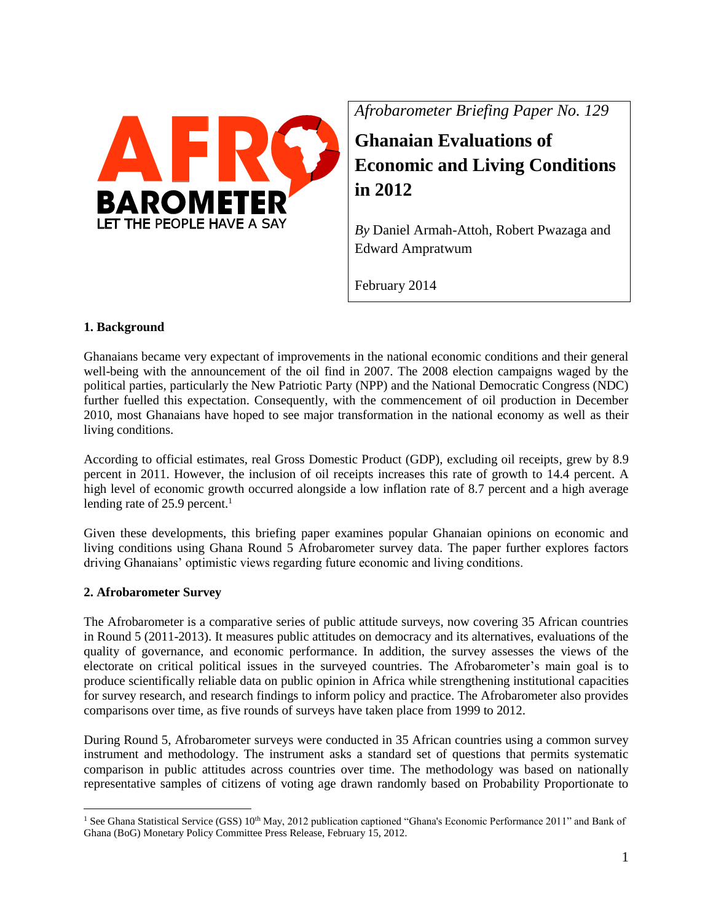

*Afrobarometer Briefing Paper No. 129*

**Ghanaian Evaluations of Economic and Living Conditions in 2012**

*By* Daniel Armah-Attoh, Robert Pwazaga and Edward Ampratwum

February 2014

# **1. Background**

Ghanaians became very expectant of improvements in the national economic conditions and their general well-being with the announcement of the oil find in 2007. The 2008 election campaigns waged by the political parties, particularly the New Patriotic Party (NPP) and the National Democratic Congress (NDC) further fuelled this expectation. Consequently, with the commencement of oil production in December 2010, most Ghanaians have hoped to see major transformation in the national economy as well as their living conditions.

According to official estimates, real Gross Domestic Product (GDP), excluding oil receipts, grew by 8.9 percent in 2011. However, the inclusion of oil receipts increases this rate of growth to 14.4 percent. A high level of economic growth occurred alongside a low inflation rate of 8.7 percent and a high average lending rate of  $25.9$  percent.<sup>1</sup>

Given these developments, this briefing paper examines popular Ghanaian opinions on economic and living conditions using Ghana Round 5 Afrobarometer survey data. The paper further explores factors driving Ghanaians' optimistic views regarding future economic and living conditions.

# **2. Afrobarometer Survey**

The Afrobarometer is a comparative series of public attitude surveys, now covering 35 African countries in Round 5 (2011-2013). It measures public attitudes on democracy and its alternatives, evaluations of the quality of governance, and economic performance. In addition, the survey assesses the views of the electorate on critical political issues in the surveyed countries. The Afrobarometer's main goal is to produce scientifically reliable data on public opinion in Africa while strengthening institutional capacities for survey research, and research findings to inform policy and practice. The Afrobarometer also provides comparisons over time, as five rounds of surveys have taken place from 1999 to 2012.

During Round 5, Afrobarometer surveys were conducted in 35 African countries using a common survey instrument and methodology. The instrument asks a standard set of questions that permits systematic comparison in public attitudes across countries over time. The methodology was based on nationally representative samples of citizens of voting age drawn randomly based on Probability Proportionate to

 $\overline{a}$ <sup>1</sup> See Ghana Statistical Service (GSS)  $10<sup>th</sup>$  May, 2012 publication captioned "Ghana's Economic Performance 2011" and Bank of Ghana (BoG) Monetary Policy Committee Press Release, February 15, 2012.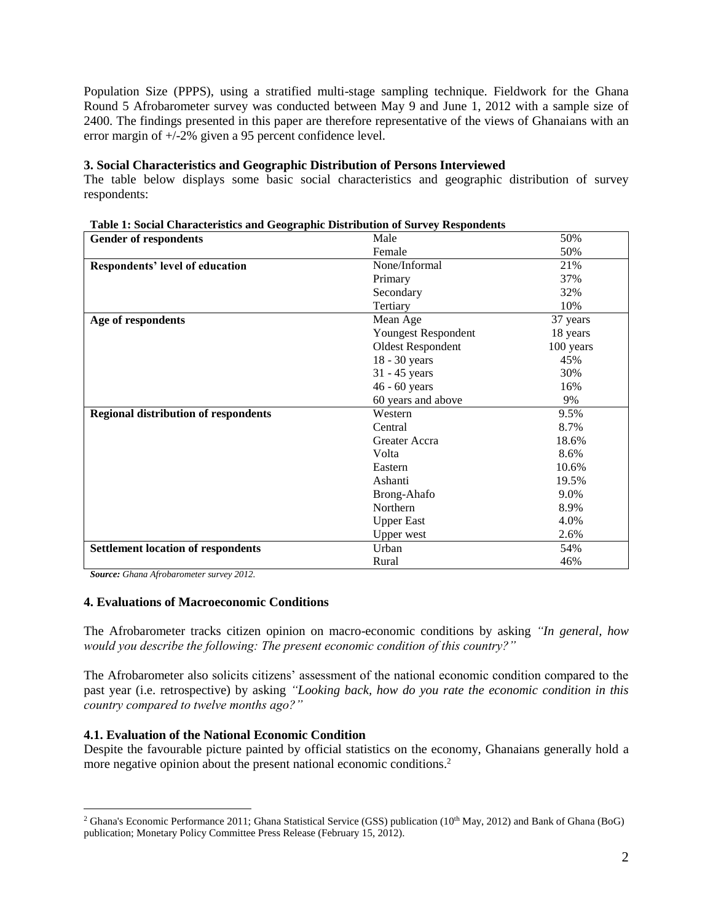Population Size (PPPS), using a stratified multi-stage sampling technique. Fieldwork for the Ghana Round 5 Afrobarometer survey was conducted between May 9 and June 1, 2012 with a sample size of 2400. The findings presented in this paper are therefore representative of the views of Ghanaians with an error margin of +/-2% given a 95 percent confidence level.

#### **3. Social Characteristics and Geographic Distribution of Persons Interviewed**

The table below displays some basic social characteristics and geographic distribution of survey respondents:

| <b>Gender of respondents</b>                | Male                     |           |
|---------------------------------------------|--------------------------|-----------|
|                                             | Female                   | 50%       |
| Respondents' level of education             | None/Informal            | 21%       |
|                                             | Primary                  | 37%       |
|                                             | Secondary                | 32%       |
|                                             | Tertiary                 | 10%       |
| Age of respondents                          | Mean Age                 | 37 years  |
|                                             | Youngest Respondent      | 18 years  |
|                                             | <b>Oldest Respondent</b> | 100 years |
|                                             | 18 - 30 years            | 45%       |
|                                             | 31 - 45 years            | 30%       |
|                                             | 46 - 60 years            | 16%       |
|                                             | 60 years and above       | 9%        |
| <b>Regional distribution of respondents</b> | Western                  | 9.5%      |
|                                             | Central                  | 8.7%      |
|                                             | Greater Accra            | 18.6%     |
|                                             | Volta                    | 8.6%      |
|                                             | Eastern                  | 10.6%     |
|                                             | Ashanti                  | 19.5%     |
|                                             | Brong-Ahafo              | 9.0%      |
|                                             | Northern                 | 8.9%      |
|                                             | <b>Upper East</b>        | 4.0%      |
|                                             | <b>Upper</b> west        | 2.6%      |
| <b>Settlement location of respondents</b>   | Urban                    | 54%       |
|                                             | Rural                    | 46%       |

**Table 1: Social Characteristics and Geographic Distribution of Survey Respondents**

*Source: Ghana Afrobarometer survey 2012.*

 $\overline{a}$ 

#### **4. Evaluations of Macroeconomic Conditions**

The Afrobarometer tracks citizen opinion on macro-economic conditions by asking *"In general, how would you describe the following: The present economic condition of this country?"* 

The Afrobarometer also solicits citizens' assessment of the national economic condition compared to the past year (i.e. retrospective) by asking *"Looking back, how do you rate the economic condition in this country compared to twelve months ago?"* 

### **4.1. Evaluation of the National Economic Condition**

Despite the favourable picture painted by official statistics on the economy, Ghanaians generally hold a more negative opinion about the present national economic conditions.<sup>2</sup>

<sup>&</sup>lt;sup>2</sup> Ghana's Economic Performance 2011; Ghana Statistical Service (GSS) publication (10<sup>th</sup> May, 2012) and Bank of Ghana (BoG) publication; Monetary Policy Committee Press Release (February 15, 2012).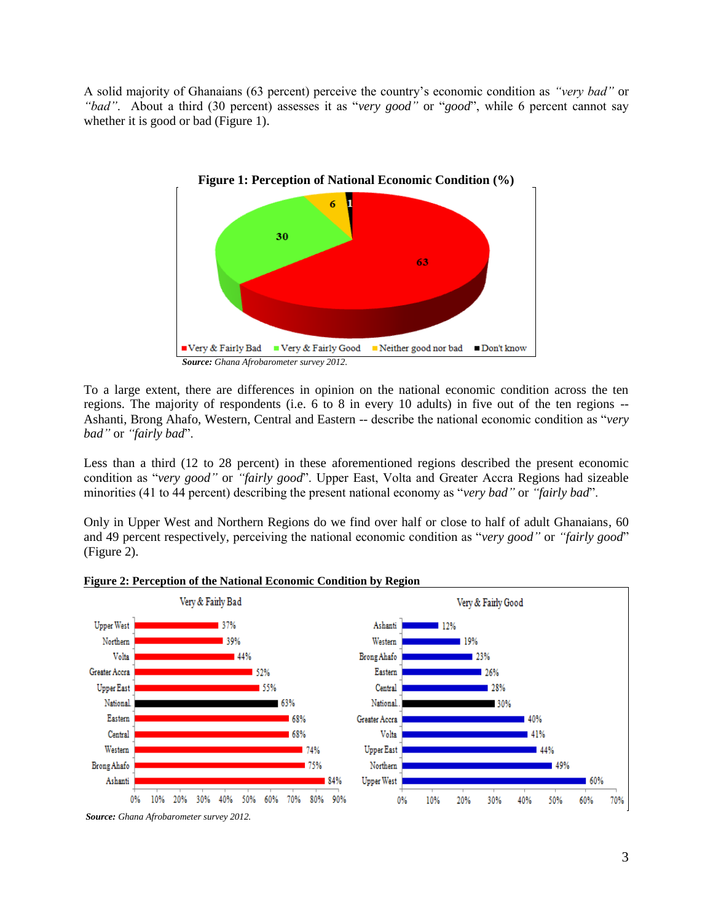A solid majority of Ghanaians (63 percent) perceive the country's economic condition as *"very bad"* or *"bad"*. About a third (30 percent) assesses it as "*very good"* or "*good*", while 6 percent cannot say whether it is good or bad (Figure 1).



To a large extent, there are differences in opinion on the national economic condition across the ten regions. The majority of respondents (i.e. 6 to 8 in every 10 adults) in five out of the ten regions -- Ashanti, Brong Ahafo, Western, Central and Eastern -- describe the national economic condition as "*very bad"* or *"fairly bad*".

Less than a third (12 to 28 percent) in these aforementioned regions described the present economic condition as "*very good"* or *"fairly good*". Upper East, Volta and Greater Accra Regions had sizeable minorities (41 to 44 percent) describing the present national economy as "*very bad"* or *"fairly bad*".

Only in Upper West and Northern Regions do we find over half or close to half of adult Ghanaians, 60 and 49 percent respectively, perceiving the national economic condition as "*very good"* or *"fairly good*" (Figure 2).



#### **Figure 2: Perception of the National Economic Condition by Region**

*Source: Ghana Afrobarometer survey 2012.*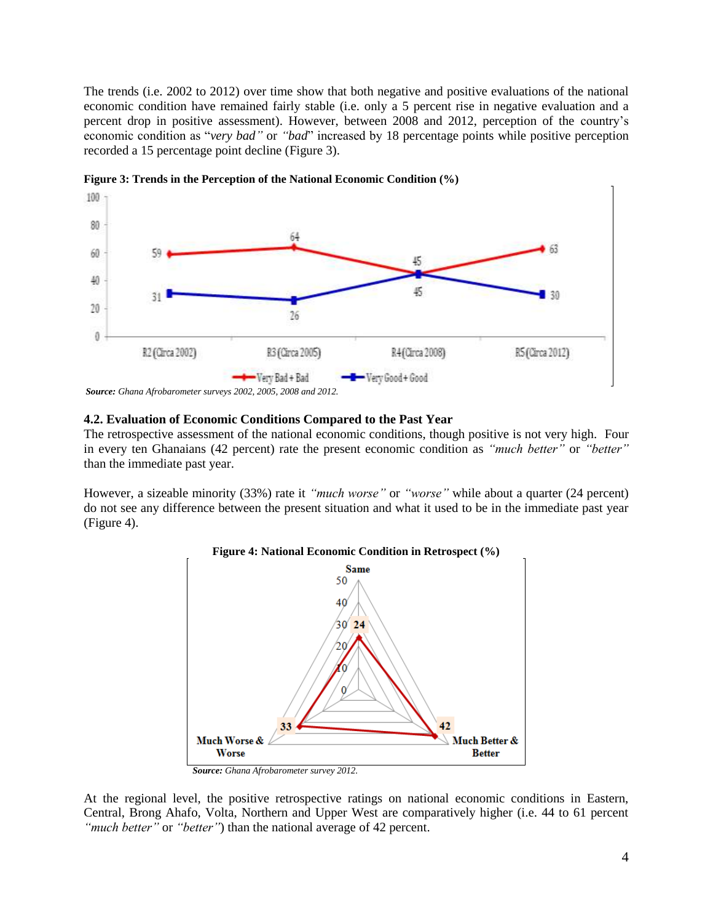The trends (i.e. 2002 to 2012) over time show that both negative and positive evaluations of the national economic condition have remained fairly stable (i.e. only a 5 percent rise in negative evaluation and a percent drop in positive assessment). However, between 2008 and 2012, perception of the country's economic condition as "*very bad"* or "*bad"* increased by 18 percentage points while positive perception recorded a 15 percentage point decline (Figure 3).



**Figure 3: Trends in the Perception of the National Economic Condition (%)**

*Source: Ghana Afrobarometer surveys 2002, 2005, 2008 and 2012.*

### **4.2. Evaluation of Economic Conditions Compared to the Past Year**

The retrospective assessment of the national economic conditions, though positive is not very high.Four in every ten Ghanaians (42 percent) rate the present economic condition as *"much better"* or *"better"* than the immediate past year.

However, a sizeable minority (33%) rate it *"much worse"* or *"worse"* while about a quarter (24 percent) do not see any difference between the present situation and what it used to be in the immediate past year (Figure 4).



**Figure 4: National Economic Condition in Retrospect (%)**

At the regional level, the positive retrospective ratings on national economic conditions in Eastern, Central, Brong Ahafo, Volta, Northern and Upper West are comparatively higher (i.e. 44 to 61 percent *"much better"* or *"better"*) than the national average of 42 percent.

*Source: Ghana Afrobarometer survey 2012.*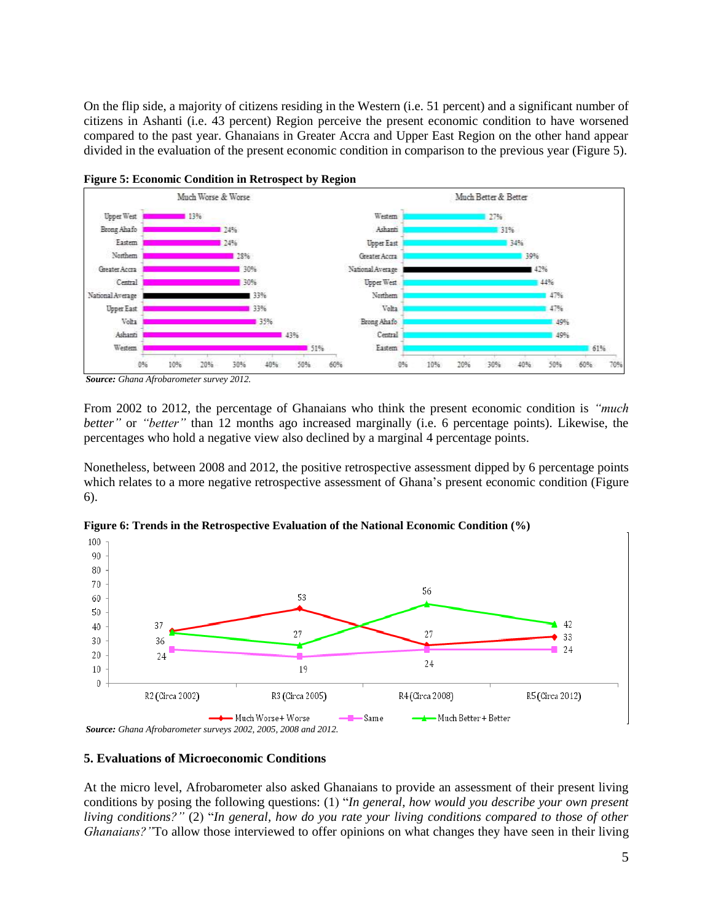On the flip side, a majority of citizens residing in the Western (i.e. 51 percent) and a significant number of citizens in Ashanti (i.e. 43 percent) Region perceive the present economic condition to have worsened compared to the past year. Ghanaians in Greater Accra and Upper East Region on the other hand appear divided in the evaluation of the present economic condition in comparison to the previous year (Figure 5).





*Source: Ghana Afrobarometer survey 2012.*

From 2002 to 2012, the percentage of Ghanaians who think the present economic condition is *"much better"* or *"better"* than 12 months ago increased marginally (i.e. 6 percentage points). Likewise, the percentages who hold a negative view also declined by a marginal 4 percentage points.

Nonetheless, between 2008 and 2012, the positive retrospective assessment dipped by 6 percentage points which relates to a more negative retrospective assessment of Ghana's present economic condition (Figure 6).



**Figure 6: Trends in the Retrospective Evaluation of the National Economic Condition (%)**

*Source: Ghana Afrobarometer surveys 2002, 2005, 2008 and 2012.*

### **5. Evaluations of Microeconomic Conditions**

At the micro level, Afrobarometer also asked Ghanaians to provide an assessment of their present living conditions by posing the following questions: (1) "*In general, how would you describe your own present living conditions?"* (2) "*In general, how do you rate your living conditions compared to those of other Ghanaians?"*To allow those interviewed to offer opinions on what changes they have seen in their living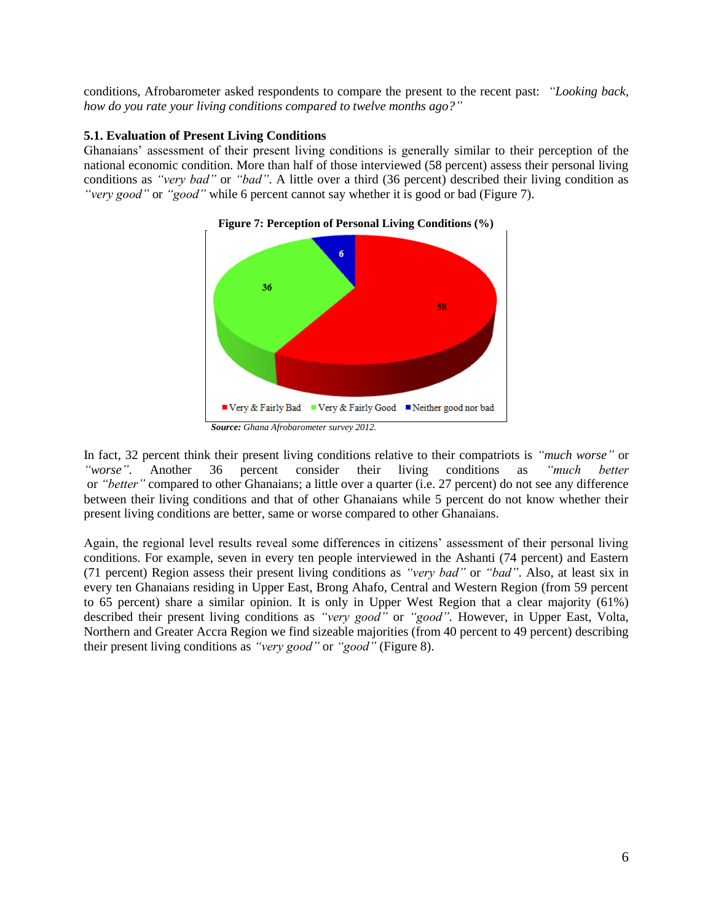conditions, Afrobarometer asked respondents to compare the present to the recent past: *"Looking back, how do you rate your living conditions compared to twelve months ago?"* 

## **5.1. Evaluation of Present Living Conditions**

Ghanaians' assessment of their present living conditions is generally similar to their perception of the national economic condition. More than half of those interviewed (58 percent) assess their personal living conditions as *"very bad"* or *"bad"*. A little over a third (36 percent) described their living condition as *"very good"* or *"good"* while 6 percent cannot say whether it is good or bad (Figure 7).



**Figure 7: Perception of Personal Living Conditions (%)**

In fact, 32 percent think their present living conditions relative to their compatriots is *"much worse"* or *"worse"*. Another 36 percent consider their living conditions as *"much better* or *"better"* compared to other Ghanaians; a little over a quarter (i.e. 27 percent) do not see any difference between their living conditions and that of other Ghanaians while 5 percent do not know whether their present living conditions are better, same or worse compared to other Ghanaians.

Again, the regional level results reveal some differences in citizens' assessment of their personal living conditions. For example, seven in every ten people interviewed in the Ashanti (74 percent) and Eastern (71 percent) Region assess their present living conditions as *"very bad"* or *"bad"*. Also, at least six in every ten Ghanaians residing in Upper East, Brong Ahafo, Central and Western Region (from 59 percent to 65 percent) share a similar opinion. It is only in Upper West Region that a clear majority (61%) described their present living conditions as *"very good"* or *"good".* However, in Upper East, Volta, Northern and Greater Accra Region we find sizeable majorities (from 40 percent to 49 percent) describing their present living conditions as *"very good"* or *"good"* (Figure 8).

*Source: Ghana Afrobarometer survey 2012.*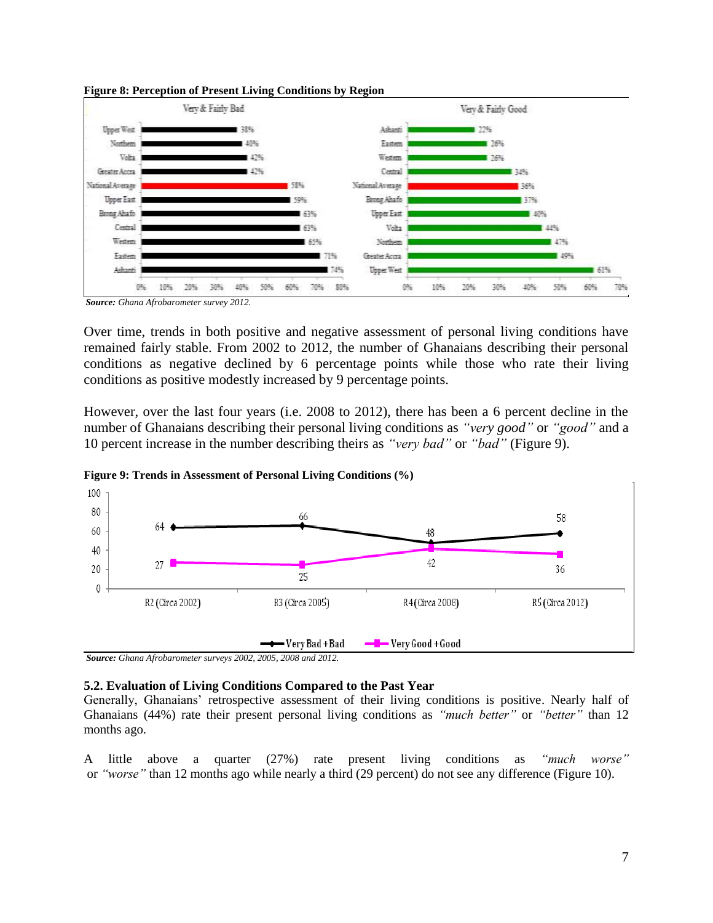



*Source: Ghana Afrobarometer survey 2012.*

Over time, trends in both positive and negative assessment of personal living conditions have remained fairly stable. From 2002 to 2012, the number of Ghanaians describing their personal conditions as negative declined by 6 percentage points while those who rate their living conditions as positive modestly increased by 9 percentage points.

However, over the last four years (i.e. 2008 to 2012), there has been a 6 percent decline in the number of Ghanaians describing their personal living conditions as *"very good"* or *"good"* and a 10 percent increase in the number describing theirs as *"very bad"* or *"bad"* (Figure 9).



**Figure 9: Trends in Assessment of Personal Living Conditions (%)**

*Source: Ghana Afrobarometer surveys 2002, 2005, 2008 and 2012.*

### **5.2. Evaluation of Living Conditions Compared to the Past Year**

Generally, Ghanaians' retrospective assessment of their living conditions is positive. Nearly half of Ghanaians (44%) rate their present personal living conditions as *"much better"* or *"better"* than 12 months ago.

A little above a quarter (27%) rate present living conditions as *"much worse"* or *"worse"* than 12 months ago while nearly a third (29 percent) do not see any difference (Figure 10).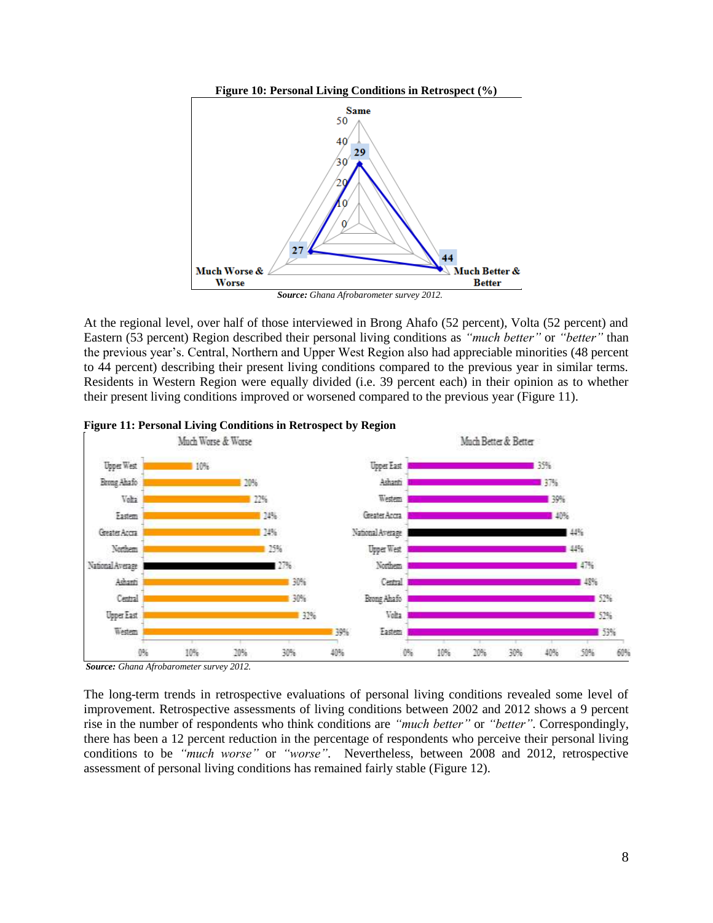

At the regional level, over half of those interviewed in Brong Ahafo (52 percent), Volta (52 percent) and Eastern (53 percent) Region described their personal living conditions as *"much better"* or *"better"* than the previous year's. Central, Northern and Upper West Region also had appreciable minorities (48 percent to 44 percent) describing their present living conditions compared to the previous year in similar terms. Residents in Western Region were equally divided (i.e. 39 percent each) in their opinion as to whether their present living conditions improved or worsened compared to the previous year (Figure 11).



#### **Figure 11: Personal Living Conditions in Retrospect by Region**

*Source: Ghana Afrobarometer survey 2012.*

The long-term trends in retrospective evaluations of personal living conditions revealed some level of improvement. Retrospective assessments of living conditions between 2002 and 2012 shows a 9 percent rise in the number of respondents who think conditions are *"much better"* or *"better"*. Correspondingly, there has been a 12 percent reduction in the percentage of respondents who perceive their personal living conditions to be *"much worse"* or *"worse"*. Nevertheless, between 2008 and 2012, retrospective assessment of personal living conditions has remained fairly stable (Figure 12).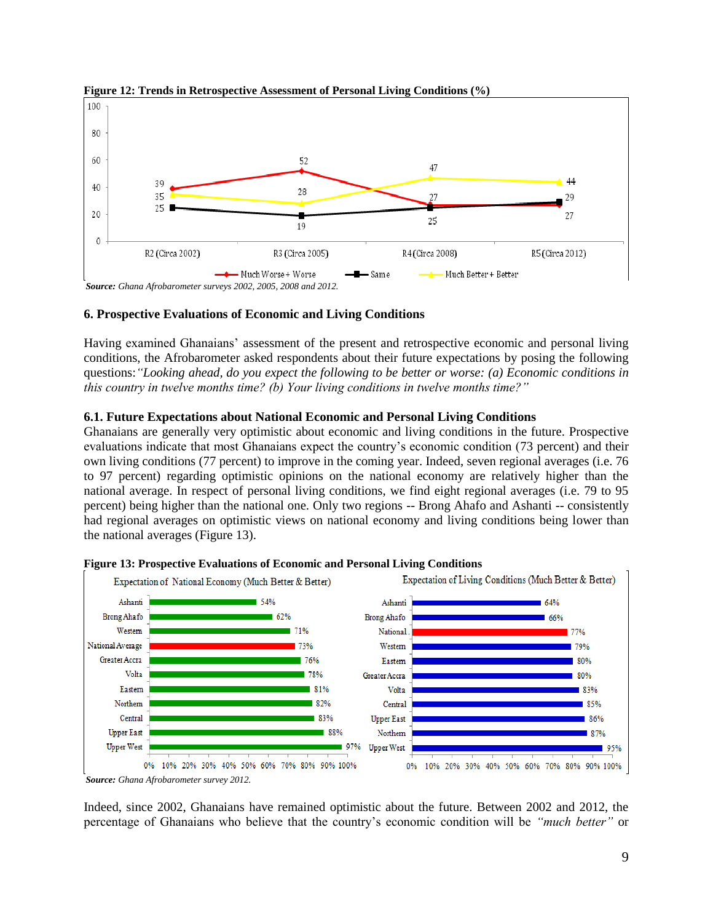

### **Figure 12: Trends in Retrospective Assessment of Personal Living Conditions (%)**

# **6. Prospective Evaluations of Economic and Living Conditions**

Having examined Ghanaians' assessment of the present and retrospective economic and personal living conditions, the Afrobarometer asked respondents about their future expectations by posing the following questions:*"Looking ahead, do you expect the following to be better or worse: (a) Economic conditions in this country in twelve months time? (b) Your living conditions in twelve months time?"*

# **6.1. Future Expectations about National Economic and Personal Living Conditions**

Ghanaians are generally very optimistic about economic and living conditions in the future. Prospective evaluations indicate that most Ghanaians expect the country's economic condition (73 percent) and their own living conditions (77 percent) to improve in the coming year. Indeed, seven regional averages (i.e. 76 to 97 percent) regarding optimistic opinions on the national economy are relatively higher than the national average. In respect of personal living conditions, we find eight regional averages (i.e. 79 to 95 percent) being higher than the national one. Only two regions -- Brong Ahafo and Ashanti -- consistently had regional averages on optimistic views on national economy and living conditions being lower than the national averages (Figure 13).



### **Figure 13: Prospective Evaluations of Economic and Personal Living Conditions**

Indeed, since 2002, Ghanaians have remained optimistic about the future. Between 2002 and 2012, the percentage of Ghanaians who believe that the country's economic condition will be *"much better"* or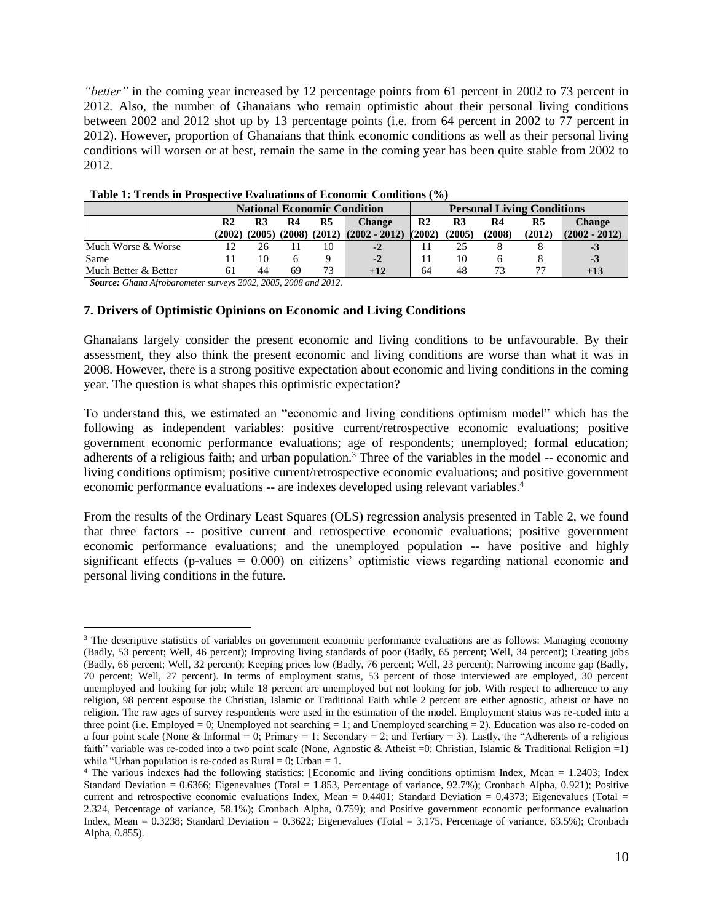*"better"* in the coming year increased by 12 percentage points from 61 percent in 2002 to 73 percent in 2012. Also, the number of Ghanaians who remain optimistic about their personal living conditions between 2002 and 2012 shot up by 13 percentage points (i.e. from 64 percent in 2002 to 77 percent in 2012). However, proportion of Ghanaians that think economic conditions as well as their personal living conditions will worsen or at best, remain the same in the coming year has been quite stable from 2002 to 2012.

|                      | <b>National Economic Condition</b> |        |        |                | <b>Personal Living Conditions</b> |                |        |        |        |                 |
|----------------------|------------------------------------|--------|--------|----------------|-----------------------------------|----------------|--------|--------|--------|-----------------|
|                      | R <sub>2</sub>                     | R3     | R4     | R <sub>5</sub> | <b>Change</b>                     | R <sub>2</sub> | R3     | R4     | R5     | Change          |
|                      | (2002)                             | (2005) | (2008) | (2012)         | $(2002 - 2012)$                   | (2002)         | (2005) | (2008) | (2012) | $(2002 - 2012)$ |
| Much Worse & Worse   |                                    | 26     |        | 10             | $-2$                              |                | 25     |        |        | - 5             |
| Same                 |                                    | 10     |        |                | $-2$                              |                | 10     |        |        | -3              |
| Much Better & Better | 61                                 | 44     | 69     | 73             | $+12$                             | 64             | 48     |        |        | $+13$           |

**Table 1: Trends in Prospective Evaluations of Economic Conditions (%)**

*Source: Ghana Afrobarometer surveys 2002, 2005, 2008 and 2012.*

#### **7. Drivers of Optimistic Opinions on Economic and Living Conditions**

Ghanaians largely consider the present economic and living conditions to be unfavourable. By their assessment, they also think the present economic and living conditions are worse than what it was in 2008. However, there is a strong positive expectation about economic and living conditions in the coming year. The question is what shapes this optimistic expectation?

To understand this, we estimated an "economic and living conditions optimism model" which has the following as independent variables: positive current/retrospective economic evaluations; positive government economic performance evaluations; age of respondents; unemployed; formal education; adherents of a religious faith; and urban population.<sup>3</sup> Three of the variables in the model  $-$  economic and living conditions optimism; positive current/retrospective economic evaluations; and positive government economic performance evaluations -- are indexes developed using relevant variables.<sup>4</sup>

From the results of the Ordinary Least Squares (OLS) regression analysis presented in Table 2, we found that three factors -- positive current and retrospective economic evaluations; positive government economic performance evaluations; and the unemployed population -- have positive and highly significant effects (p-values  $= 0.000$ ) on citizens' optimistic views regarding national economic and personal living conditions in the future.

 $\overline{a}$ <sup>3</sup> The descriptive statistics of variables on government economic performance evaluations are as follows: Managing economy (Badly, 53 percent; Well, 46 percent); Improving living standards of poor (Badly, 65 percent; Well, 34 percent); Creating jobs (Badly, 66 percent; Well, 32 percent); Keeping prices low (Badly, 76 percent; Well, 23 percent); Narrowing income gap (Badly, 70 percent; Well, 27 percent). In terms of employment status, 53 percent of those interviewed are employed, 30 percent unemployed and looking for job; while 18 percent are unemployed but not looking for job. With respect to adherence to any religion, 98 percent espouse the Christian, Islamic or Traditional Faith while 2 percent are either agnostic, atheist or have no religion. The raw ages of survey respondents were used in the estimation of the model. Employment status was re-coded into a three point (i.e. Employed = 0; Unemployed not searching = 1; and Unemployed searching = 2). Education was also re-coded on a four point scale (None & Informal = 0; Primary = 1; Secondary = 2; and Tertiary = 3). Lastly, the "Adherents of a religious faith" variable was re-coded into a two point scale (None, Agnostic & Atheist =0: Christian, Islamic & Traditional Religion =1) while "Urban population is re-coded as  $Rural = 0$ ; Urban = 1.

<sup>4</sup> The various indexes had the following statistics: [Economic and living conditions optimism Index, Mean = 1.2403; Index Standard Deviation = 0.6366; Eigenevalues (Total = 1.853, Percentage of variance, 92.7%); Cronbach Alpha, 0.921); Positive current and retrospective economic evaluations Index, Mean =  $0.4401$ ; Standard Deviation =  $0.4373$ ; Eigenevalues (Total = 2.324, Percentage of variance, 58.1%); Cronbach Alpha, 0.759); and Positive government economic performance evaluation Index, Mean = 0.3238; Standard Deviation = 0.3622; Eigenevalues (Total = 3.175, Percentage of variance, 63.5%); Cronbach Alpha, 0.855).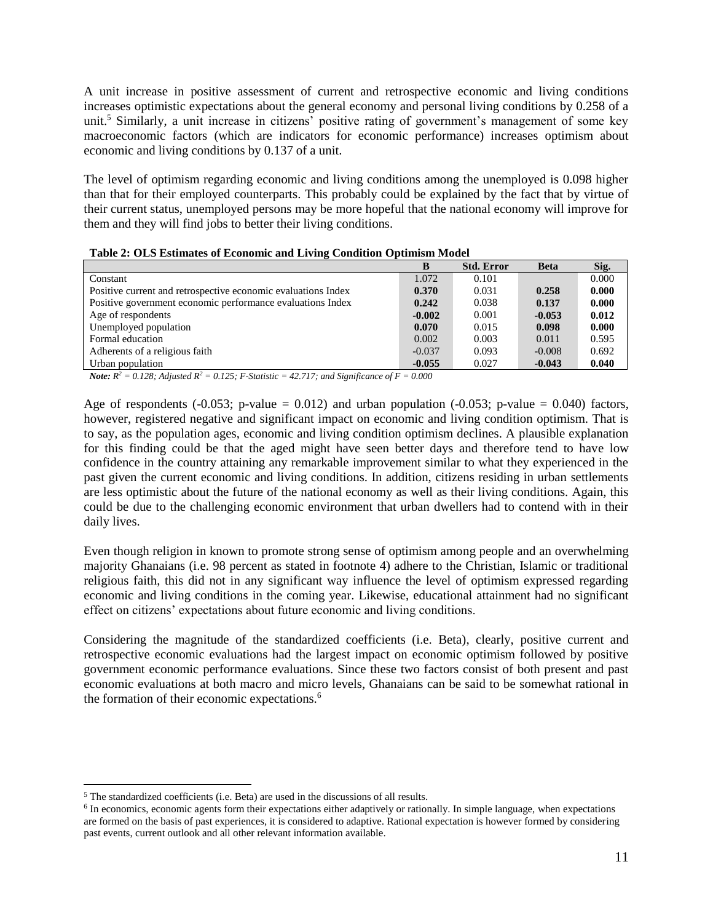A unit increase in positive assessment of current and retrospective economic and living conditions increases optimistic expectations about the general economy and personal living conditions by 0.258 of a unit.<sup>5</sup> Similarly, a unit increase in citizens' positive rating of government's management of some key macroeconomic factors (which are indicators for economic performance) increases optimism about economic and living conditions by 0.137 of a unit.

The level of optimism regarding economic and living conditions among the unemployed is 0.098 higher than that for their employed counterparts. This probably could be explained by the fact that by virtue of their current status, unemployed persons may be more hopeful that the national economy will improve for them and they will find jobs to better their living conditions.

| $\overline{\phantom{a}}$                                      | в        | <b>Std. Error</b> | <b>Beta</b> | Sig.  |
|---------------------------------------------------------------|----------|-------------------|-------------|-------|
| Constant                                                      | 1.072    | 0.101             |             | 0.000 |
| Positive current and retrospective economic evaluations Index | 0.370    | 0.031             | 0.258       | 0.000 |
| Positive government economic performance evaluations Index    | 0.242    | 0.038             | 0.137       | 0.000 |
| Age of respondents                                            | $-0.002$ | 0.001             | $-0.053$    | 0.012 |
| Unemployed population                                         | 0.070    | 0.015             | 0.098       | 0.000 |
| Formal education                                              | 0.002    | 0.003             | 0.011       | 0.595 |
| Adherents of a religious faith                                | $-0.037$ | 0.093             | $-0.008$    | 0.692 |
| Urban population                                              | $-0.055$ | 0.027             | $-0.043$    | 0.040 |

*Note:*  $R^2 = 0.128$ ; Adjusted  $R^2 = 0.125$ ; *F*-Statistic = 42.717; and Significance of F = 0.000

Age of respondents  $(-0.053; p-value = 0.012)$  and urban population  $(-0.053; p-value = 0.040)$  factors, however, registered negative and significant impact on economic and living condition optimism. That is to say, as the population ages, economic and living condition optimism declines. A plausible explanation for this finding could be that the aged might have seen better days and therefore tend to have low confidence in the country attaining any remarkable improvement similar to what they experienced in the past given the current economic and living conditions. In addition, citizens residing in urban settlements are less optimistic about the future of the national economy as well as their living conditions. Again, this could be due to the challenging economic environment that urban dwellers had to contend with in their daily lives.

Even though religion in known to promote strong sense of optimism among people and an overwhelming majority Ghanaians (i.e. 98 percent as stated in footnote 4) adhere to the Christian, Islamic or traditional religious faith, this did not in any significant way influence the level of optimism expressed regarding economic and living conditions in the coming year. Likewise, educational attainment had no significant effect on citizens' expectations about future economic and living conditions.

Considering the magnitude of the standardized coefficients (i.e. Beta), clearly, positive current and retrospective economic evaluations had the largest impact on economic optimism followed by positive government economic performance evaluations. Since these two factors consist of both present and past economic evaluations at both macro and micro levels, Ghanaians can be said to be somewhat rational in the formation of their economic expectations.<sup>6</sup>

 $\overline{\phantom{a}}$ 

<sup>5</sup> The standardized coefficients (i.e. Beta) are used in the discussions of all results.

<sup>&</sup>lt;sup>6</sup> In economics, economic agents form their expectations either adaptively or rationally. In simple language, when expectations are formed on the basis of past experiences, it is considered to adaptive. Rational expectation is however formed by considering past events, current outlook and all other relevant information available.